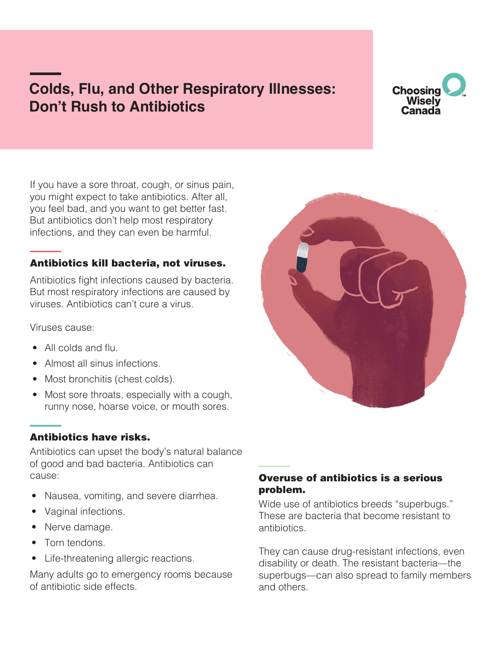# **Colds, Flu, and Other Respiratory Illnesses: Don't Rush to Antibiotics**

# **Choosing Wisely** Canada

If you have a sore throat, cough, or sinus pain, you might expect to take antibiotics. After all, you feel bad, and you want to get better fast. But antibiotics don't help most respiratory infections, and they can even be harmful.

# Antibiotics kill bacteria, not viruses.

Antibiotics fight infections caused by bacteria. But most respiratory infections are caused by viruses. Antibiotics can't cure a virus.

Viruses cause:

- All colds and flu.
- Almost all sinus infections.
- Most bronchitis (chest colds).
- Most sore throats, especially with a cough, runny nose, hoarse voice, or mouth sores.

# Antibiotics have risks.

Antibiotics can upset the body's natural balance of good and bad bacteria. Antibiotics can cause:

- Nausea, vomiting, and severe diarrhea.
- Vaginal infections.
- Nerve damage.
- Torn tendons.
- Life-threatening allergic reactions.

Many adults go to emergency rooms because of antibiotic side effects.

# Overuse of antibiotics is a serious problem.

Wide use of antibiotics breeds "superbugs." These are bacteria that become resistant to antibiotics.

They can cause drug-resistant infections, even disability or death. The resistant bacteria—the superbugs—can also spread to family members and others.